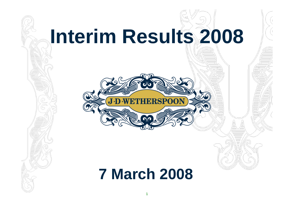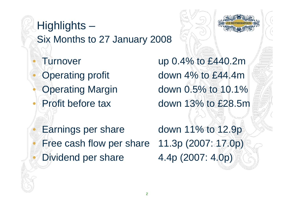# Highlights – Six Months to 27 January 2008 • Turnover up 0.4% to £440.2m Operating profit down 4% to £44.4m Operating Margin down 0.5% to 10.1% • Profit before tax down 13% to £28.5m

Earnings per share down 11% to 12.9p • Free cash flow per share 11.3p (2007: 17.0p) Dividend per share 4.4p (2007: 4.0p)

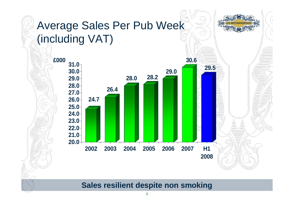

**Sales resilient despite non smoking**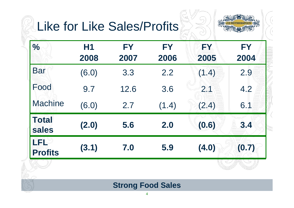### Like for Like Sales/Profits



| $\frac{0}{0}$         | H <sub>1</sub><br>2008 | <b>FY</b><br>2007 | <b>FY</b><br>2006 | FY<br>2005 | <b>FY</b><br>2004 |
|-----------------------|------------------------|-------------------|-------------------|------------|-------------------|
| <b>Bar</b>            | (6.0)                  | 3.3               | 2.2               | (1.4)      | 2.9               |
| Food                  | 9.7                    | 12.6              | 3.6               | 2.1        | 4.2               |
| <b>Machine</b>        | (6.0)                  | 2.7               | (1.4)             | (2.4)      | 6.1               |
| <b>Total</b><br>sales | (2.0)                  | 5.6               | 2.0               | (0.6)      | 3.4               |
| LFL<br><b>Profits</b> | (3.1)                  | 7.0               | 5.9               | (4.0)      | (0.7)             |
|                       |                        |                   |                   |            |                   |

#### **Strong Food Sales**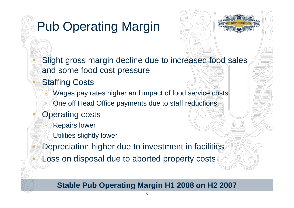## Pub Operating Margin



Slight gross margin decline due to increased food sales and some food cost pressure

- **Staffing Costs** 
	- Wages pay rates higher and impact of food service costs
	- One off Head Office payments due to staff reductions
- **Operating costs** 
	- **Repairs lower**
	- Utilities slightly lower
- Depreciation higher due to investment in facilities
- Loss on disposal due to aborted property costs

### **Stable Pub Operating Margin H1 2008 on H2 2007**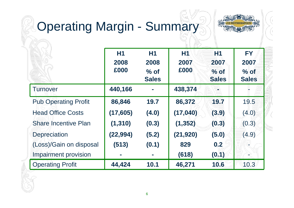# Operating Margin - Summary



|                             | H1<br>2008<br>£000 | H1<br>2008<br>$%$ of<br><b>Sales</b> | <b>H1</b><br>2007<br>£000 | <b>H1</b><br>2007<br>$%$ of<br><b>Sales</b> | <b>FY</b><br>2007<br>$%$ of<br><b>Sales</b> |  |
|-----------------------------|--------------------|--------------------------------------|---------------------------|---------------------------------------------|---------------------------------------------|--|
| Turnover                    | 440,166            |                                      | 438,374                   |                                             |                                             |  |
| <b>Pub Operating Profit</b> | 86,846             | 19.7                                 | 86,372                    | 19.7                                        | 19.5                                        |  |
| <b>Head Office Costs</b>    | (17, 605)          | (4.0)                                | (17,040)                  | (3.9)                                       | (4.0)                                       |  |
| <b>Share Incentive Plan</b> | (1, 310)           | (0.3)                                | (1, 352)                  | (0.3)                                       | (0.3)                                       |  |
| <b>Depreciation</b>         | (22, 994)          | (5.2)                                | (21, 920)                 | (5.0)                                       | (4.9)                                       |  |
| (Loss)/Gain on disposal     | (513)              | (0.1)                                | 829                       | 0.2                                         |                                             |  |
| Impairment provision        | ×,                 | <b>COL</b>                           | (618)                     | (0.1)                                       |                                             |  |
| <b>Operating Profit</b>     | 44,424             | 10.1                                 | 46,271                    | 10.6                                        | 10.3                                        |  |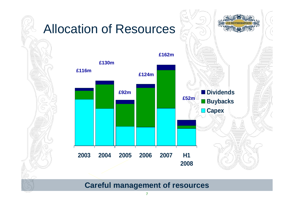

**Careful management of resources**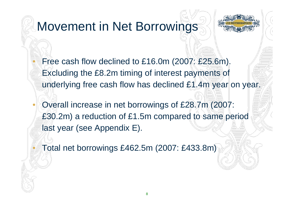

### Movement in Net Borrowings

- Free cash flow declined to £16.0m (2007: £25.6m). Excluding the £8.2m timing of interest payments of underlying free cash flow has declined £1.4m year on year.
- Overall increase in net borrowings of £28.7m (2007: £30.2m) a reduction of £1.5m compared to same period last year (see Appendix E).

• Total net borrowings £462.5m (2007: £433.8m)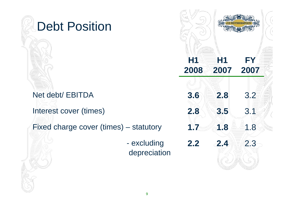### Debt Position

### Net debt/ EBITDA

Fixed charge cover (times) – statutory **1.7 1.8 1.8** 1.8

- excluding depreciation

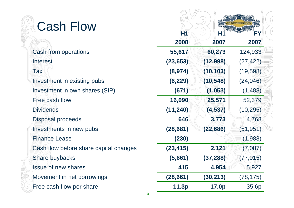### Cash Flow

| Cash from operations                   | 55,617    |
|----------------------------------------|-----------|
| <b>Interest</b>                        | (23, 653) |
| <b>Tax</b>                             | (8, 974)  |
| Investment in existing pubs            | (6, 229)  |
| Investment in own shares (SIP)         | (671)     |
| Free cash flow                         | 16,090    |
| <b>Dividends</b>                       | (11, 240) |
| Disposal proceeds                      | 646       |
| Investments in new pubs                | (28, 681) |
| <b>Finance Lease</b>                   | (230)     |
| Cash flow before share capital changes | (23, 415) |
| Share buybacks                         | (5,661)   |
| <b>Issue of new shares</b>             | 415       |
| Movement in net borrowings             | (28, 661) |
| Free cash flow per share               | 11.3p     |

| Cash Flow                              |                |           |           |
|----------------------------------------|----------------|-----------|-----------|
|                                        | H <sub>1</sub> | H1        | FΥ        |
|                                        | 2008           | 2007      | 2007      |
| <b>Cash from operations</b>            | 55,617         | 60,273    | 124,933   |
| <b>Interest</b>                        | (23, 653)      | (12,998)  | (27, 422) |
| Tax                                    | (8, 974)       | (10, 103) | (19, 598) |
| Investment in existing pubs            | (6, 229)       | (10, 548) | (24, 046) |
| Investment in own shares (SIP)         | (671)          | (1, 053)  | (1, 488)  |
| Free cash flow                         | 16,090         | 25,571    | 52,379    |
| <b>Dividends</b>                       | (11, 240)      | (4, 537)  | (10, 295) |
| Disposal proceeds                      | 646            | 3,773     | 4,768     |
| Investments in new pubs                | (28, 681)      | (22, 686) | (51, 951) |
| <b>Finance Lease</b>                   | (230)          |           | (1,988)   |
| Cash flow before share capital changes | (23, 415)      | 2,121     | (7,087)   |
| Share buybacks                         | (5,661)        | (37, 288) | (77, 015) |
| <b>Issue of new shares</b>             | 415            | 4,954     | 5,927     |
| Movement in net borrowings             | (28, 661)      | (30, 213) | (78, 175) |
| Free cash flow per share               | 11.3p          | 17.0p     | 35.6p     |
|                                        |                |           |           |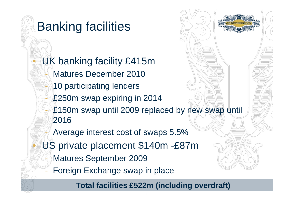### Banking facilities

UK banking facility £415m - Matures December 2010 10 participating lenders £250m swap expiring in 2014 £150m swap until 2009 replaced by new swap until 2016Average interest cost of swaps 5.5% US private placement \$140m -£87m Matures September 2009 Foreign Exchange swap in place

**Total facilities £522m (including overdraft)**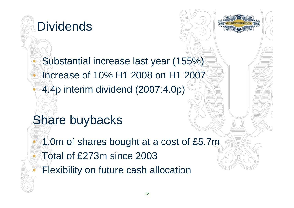



### • Substantial increase last year (155%) • Increase of 10% H1 2008 on H1 2007• 4.4p interim dividend (2007:4.0p)

### Share buybacks

1.0m of shares bought at a cost of £5.7m • Total of £273m since 2003 **Flexibility on future cash allocation**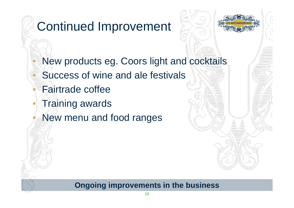### Continued Improvement



- New products eg. Coors light and cocktails
- Success of wine and ale festivals
- Fairtrade coffee
- Training awards
- New menu and food ranges

#### **Ongoing improvements in the business**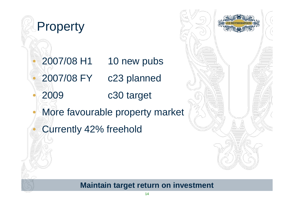### **Property**

• 2007/08 H1 10 new pubs

• 2007/08 FY c23 planned

• 2009 c30 target

More favourable property market

Currently 42% freehold



#### **Maintain target return on investment**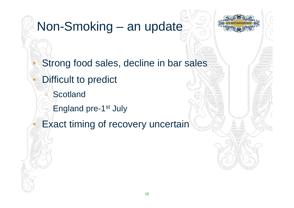### Non-Smoking – an update

- Strong food sales, decline in bar sales
- Difficult to predict
	- **Scotland**
	- **England pre-1st July**
- **Exact timing of recovery uncertain**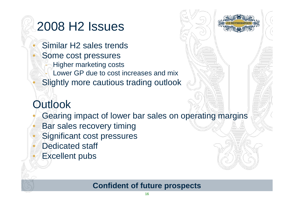### 2008 H2 Issues

• Similar H2 sales trendsSome cost pressures **Higher marketing costs** Lower GP due to cost increases and mix Slightly more cautious trading outlook

### **Outlook**

Gearing impact of lower bar sales on operating margins

- **Bar sales recovery timing**
- Significant cost pressures
- Dedicated staff
- **Excellent pubs**

### **Confident of future prospects**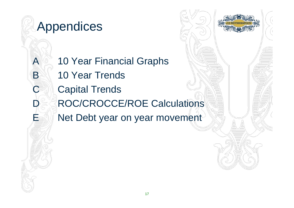### Appendices

A 10 Year Financial Graphs B 10 Year Trends **C** Capital Trends ROC/CROCCE/ROE Calculations Net Debt year on year movement

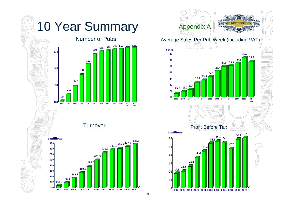### 10 Year Summary

#### Number of Pubs



Turnover



#### Appendix A



#### Average Sales Per Pub Week (including VAT)





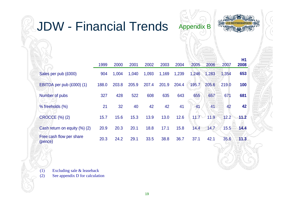| <b>JDW - Financial Trends</b>       |       |       |       |       |       |       | <b>Appendix B</b> |       |       |                   |  |
|-------------------------------------|-------|-------|-------|-------|-------|-------|-------------------|-------|-------|-------------------|--|
|                                     | 1999  | 2000  | 2001  | 2002  | 2003  | 2004  | 2005              | 2006  | 2007  | <b>H1</b><br>2008 |  |
| Sales per pub (£000)                | 904   | 1,004 | 1,040 | 1,093 | 1,169 | 1,239 | 1,246             | 1,283 | 1,354 | 653               |  |
| EBITDA per pub (£000) (1)           | 188.0 | 203.8 | 205.9 | 207.4 | 201.9 | 204.4 | 195.7             | 205.6 | 219.0 | 100               |  |
| Number of pubs                      | 327   | 428   | 522   | 608   | 635   | 643   | 655               | 657   | 671   | 681               |  |
| % freeholds (%)                     | 21    | 32    | 40    | 42    | 42    | 41    | 41                | 41    | 42    | 42                |  |
| <b>CROCCE (%) (2)</b>               | 15.7  | 15.6  | 15.3  | 13.9  | 13.0  | 12.6  | 11.7              | 11.9  | 12.2  | 11.2              |  |
| Cash return on equity (%) (2)       | 20.9  | 20.3  | 20.1  | 18.8  | 17.1  | 15.8  | 14.4              | 14.7  | 15.5  | 14.4              |  |
| Free cash flow per share<br>(pence) | 20.3  | 24.2  | 29.1  | 33.5  | 38.8  | 36.7  | 37.1              | 42.1  | 35.6  | 11.3              |  |
| (1)<br>Excluding sale & leaseback   |       |       |       |       |       |       |                   |       |       |                   |  |

(2) See appendix D for calculation

J

A<br>K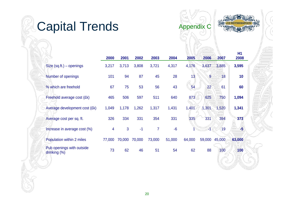### Capital Trends



Appendix C

|                                           | 2000           | 2001   | 2002   | 2003           | 2004   | 2005   | 2006   | 2007   | <b>H1</b><br>2008 |
|-------------------------------------------|----------------|--------|--------|----------------|--------|--------|--------|--------|-------------------|
| Size $(sq.th.) - openings$                | 3,217          | 3,713  | 3,808  | 3,721          | 4,317  | 4,176  | 3,637  | 3,885  | 3,595             |
| Number of openings                        | 101            | 94     | 87     | 45             | 28     | 13     | 9      | 18     | 10                |
| % which are freehold                      | 67             | 75     | 53     | 56             | 43     | 54     | 22     | 61     | 60                |
| Freehold average cost (£k)                | 465            | 506    | 597    | 511            | 640    | 873    | 625    | 750    | 1,094             |
| Average development cost (£k)             | 1,049          | 1,178  | 1,262  | 1,317          | 1,431  | 1,401  | 1,301  | 1,520  | 1,341             |
| Average cost per sq. ft.                  | 326            | 334    | 331    | 354            | 331    | 335    | 331    | 394    | 373               |
| Increase in average cost (%)              | $\overline{4}$ | 3      | $-1$   | $\overline{7}$ | $-6$   |        |        | 19     | $-5$              |
| Population within 2 miles                 | 77,000         | 70,000 | 70,000 | 73,000         | 51,000 | 64,000 | 59,000 | 45,000 | 63,000            |
| Pub openings with outside<br>drinking (%) | 73             | 62     | 46     | 51             | 54     | 62     | 88     | 100    | 100               |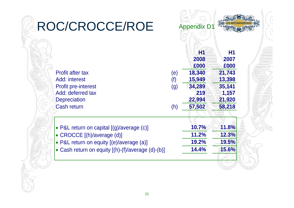| ROC/CROCCE/ROE                                    |            | <b>Appendix D1</b> |                           |  |
|---------------------------------------------------|------------|--------------------|---------------------------|--|
|                                                   |            | H<br>2008<br>£000  | <b>H1</b><br>2007<br>£000 |  |
| <b>Profit after tax</b>                           | (e)        | 18,340             | 21,743                    |  |
| Add: interest<br><b>Profit pre-interest</b>       | (f)<br>(g) | 15,949<br>34,289   | 13,398<br>35,141          |  |
| Add: deferred tax                                 |            | 219                | 1,157                     |  |
| <b>Depreciation</b><br><b>Cash return</b>         | (h)        | 22,994<br>57,502   | 21,920<br>58,218          |  |
|                                                   |            |                    |                           |  |
| • P&L return on capital [(g)/average (c)]         |            | 10.7%              | 11.8%                     |  |
| • CROCCE [(h)/average (d)]                        |            | 11.2%              | 12.3%                     |  |
| • P&L return on equity [(e)/average (a)]          |            | 19.2%              | 19.5%                     |  |
| • Cash return on equity [(h)-(f)/average (d)-(b)] |            | 14.4%              | 15.6%                     |  |
|                                                   |            |                    |                           |  |

F

V

A<br>M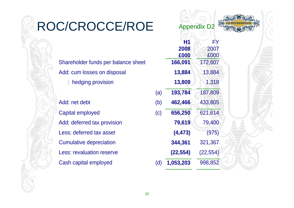### ROC/CROCCE/ROE

Shareholder funds per balance sheet **166,091** 172,607 Add: cum losses on disposal **13,884** 13,884